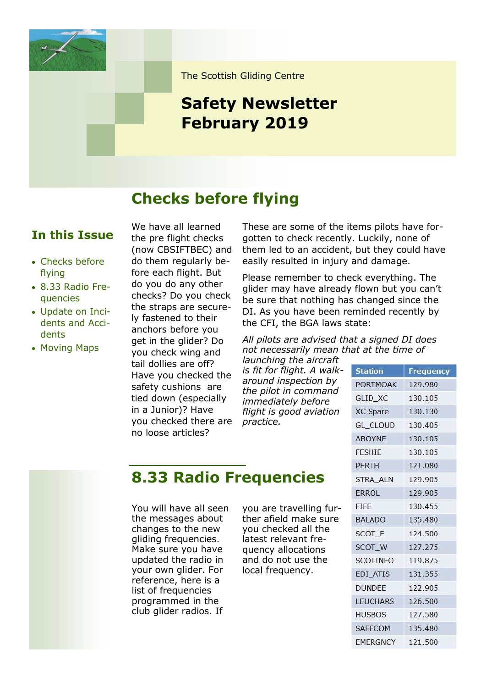

The Scottish Gliding Centre

# **Safety Newsletter February 2019**

## **Checks before flying**

#### **In this Issue**

- Checks before flying
- 8.33 Radio Frequencies
- Update on Incidents and Accidents
- Moving Maps

We have all learned the pre flight checks (now CBSIFTBEC) and do them regularly before each flight. But do you do any other checks? Do you check the straps are securely fastened to their anchors before you get in the glider? Do you check wing and tail dollies are off? Have you checked the safety cushions are tied down (especially in a Junior)? Have you checked there are no loose articles?

These are some of the items pilots have forgotten to check recently. Luckily, none of them led to an accident, but they could have easily resulted in injury and damage.

Please remember to check everything. The glider may have already flown but you can't be sure that nothing has changed since the DI. As you have been reminded recently by the CFI, the BGA laws state:

*All pilots are advised that a signed DI does not necessarily mean that at the time of* 

*launching the aircraft is fit for flight. A walkaround inspection by the pilot in command immediately before flight is good aviation practice.*

| <b>Station</b>  | <b>Frequency</b> |
|-----------------|------------------|
| <b>PORTMOAK</b> | 129.980          |
| GLID_XC         | 130.105          |
| XC Spare        | 130.130          |
| <b>GL CLOUD</b> | 130.405          |
| <b>ABOYNE</b>   | 130.105          |
| <b>FFSHIF</b>   | 130.105          |
| <b>PERTH</b>    | 121.080          |
| <b>STRA ALN</b> | 129,905          |
| ERROL           | 129.905          |
| <b>FIFF</b>     | 130.455          |
| <b>BALADO</b>   | 135.480          |
| SCOT E          | 124,500          |
| SCOT W          | 127.275          |
| <b>SCOTINFO</b> | 119.875          |
| EDI_ATIS        | 131.355          |
| <b>DUNDEE</b>   | 122.905          |
| <b>LEUCHARS</b> | 126.500          |
| <b>HUSBOS</b>   | 127.580          |
| <b>SAFECOM</b>  | 135.480          |
| <b>EMERGNCY</b> | 121.500          |

### **8.33 Radio Frequencies**

You will have all seen the messages about changes to the new gliding frequencies. Make sure you have updated the radio in your own glider. For reference, here is a list of frequencies programmed in the club glider radios. If

you are travelling further afield make sure you checked all the latest relevant frequency allocations and do not use the local frequency.